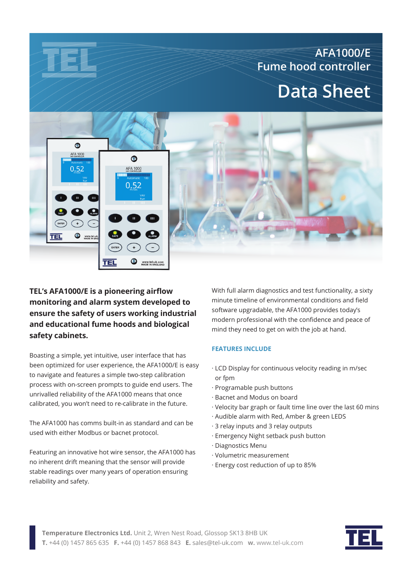# **AFA1000/E Fume hood controller Data Sheet**

## $\bullet$ AFA 1000 卷  $0.52$ **AFA 1000**  $0.52$ www.tel-uk. TEL WWW.tel-uk.com TEL

**TEL's AFA1000/E is a pioneering airflow monitoring and alarm system developed to ensure the safety of users working industrial and educational fume hoods and biological safety cabinets.**

Boasting a simple, yet intuitive, user interface that has been optimized for user experience, the AFA1000/E is easy to navigate and features a simple two-step calibration process with on-screen prompts to guide end users. The unrivalled reliability of the AFA1000 means that once calibrated, you won't need to re-calibrate in the future.

The AFA1000 has comms built-in as standard and can be used with either Modbus or bacnet protocol.

Featuring an innovative hot wire sensor, the AFA1000 has no inherent drift meaning that the sensor will provide stable readings over many years of operation ensuring reliability and safety.

With full alarm diagnostics and test functionality, a sixty minute timeline of environmental conditions and field software upgradable, the AFA1000 provides today's modern professional with the confidence and peace of mind they need to get on with the job at hand.

#### **FEATURES INCLUDE**

- · LCD Display for continuous velocity reading in m/sec or fpm
- · Programable push buttons
- · Bacnet and Modus on board
- · Velocity bar graph or fault time line over the last 60 mins
- · Audible alarm with Red, Amber & green LEDS
- · 3 relay inputs and 3 relay outputs
- · Emergency Night setback push button
- · Diagnostics Menu
- · Volumetric measurement
- · Energy cost reduction of up to 85%